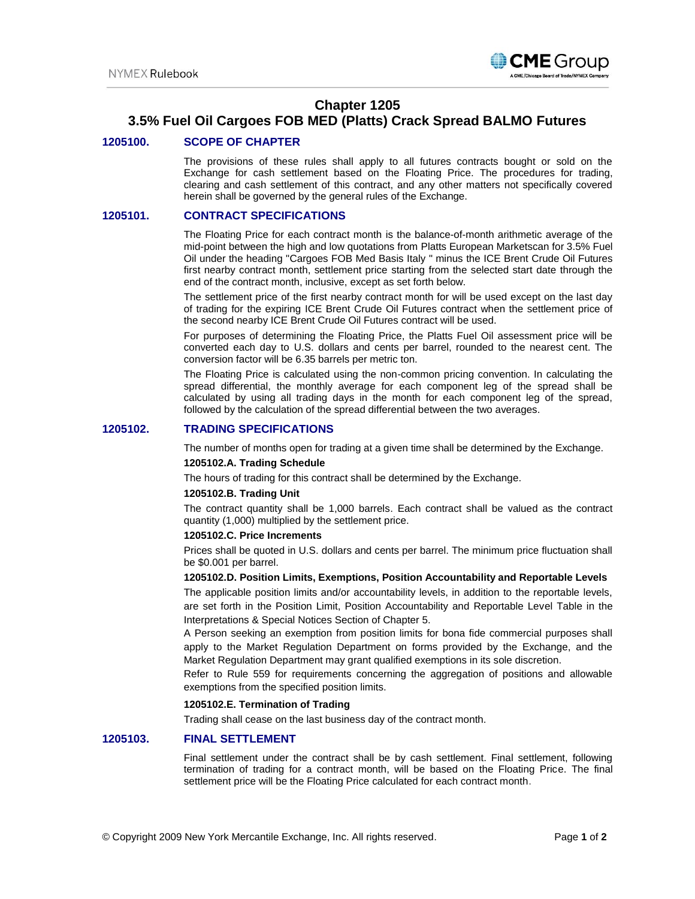

## **Chapter 1205**

# **3.5% Fuel Oil Cargoes FOB MED (Platts) Crack Spread BALMO Futures**

### **1205100. SCOPE OF CHAPTER**

The provisions of these rules shall apply to all futures contracts bought or sold on the Exchange for cash settlement based on the Floating Price. The procedures for trading, clearing and cash settlement of this contract, and any other matters not specifically covered herein shall be governed by the general rules of the Exchange.

#### **1205101. CONTRACT SPECIFICATIONS**

The Floating Price for each contract month is the balance-of-month arithmetic average of the mid-point between the high and low quotations from Platts European Marketscan for 3.5% Fuel Oil under the heading "Cargoes FOB Med Basis Italy " minus the ICE Brent Crude Oil Futures first nearby contract month, settlement price starting from the selected start date through the end of the contract month, inclusive, except as set forth below.

The settlement price of the first nearby contract month for will be used except on the last day of trading for the expiring ICE Brent Crude Oil Futures contract when the settlement price of the second nearby ICE Brent Crude Oil Futures contract will be used.

For purposes of determining the Floating Price, the Platts Fuel Oil assessment price will be converted each day to U.S. dollars and cents per barrel, rounded to the nearest cent. The conversion factor will be 6.35 barrels per metric ton.

The Floating Price is calculated using the non-common pricing convention. In calculating the spread differential, the monthly average for each component leg of the spread shall be calculated by using all trading days in the month for each component leg of the spread, followed by the calculation of the spread differential between the two averages.

### **1205102. TRADING SPECIFICATIONS**

The number of months open for trading at a given time shall be determined by the Exchange.

#### **1205102.A. Trading Schedule**

The hours of trading for this contract shall be determined by the Exchange.

#### **1205102.B. Trading Unit**

The contract quantity shall be 1,000 barrels. Each contract shall be valued as the contract quantity (1,000) multiplied by the settlement price.

#### **1205102.C. Price Increments**

Prices shall be quoted in U.S. dollars and cents per barrel. The minimum price fluctuation shall be \$0.001 per barrel.

#### **1205102.D. Position Limits, Exemptions, Position Accountability and Reportable Levels**

The applicable position limits and/or accountability levels, in addition to the reportable levels, are set forth in the Position Limit, Position Accountability and Reportable Level Table in the Interpretations & Special Notices Section of Chapter 5.

A Person seeking an exemption from position limits for bona fide commercial purposes shall apply to the Market Regulation Department on forms provided by the Exchange, and the Market Regulation Department may grant qualified exemptions in its sole discretion.

Refer to Rule 559 for requirements concerning the aggregation of positions and allowable exemptions from the specified position limits.

#### **1205102.E. Termination of Trading**

Trading shall cease on the last business day of the contract month.

## **1205103. FINAL SETTLEMENT**

Final settlement under the contract shall be by cash settlement. Final settlement, following termination of trading for a contract month, will be based on the Floating Price. The final settlement price will be the Floating Price calculated for each contract month.